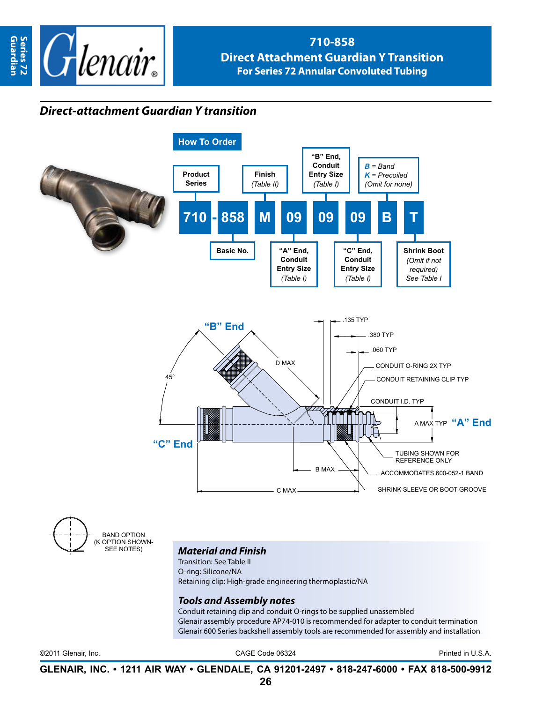

## **710-858 Direct Attachment Guardian Y Transition For Series 72 Annular Convoluted Tubing**

## *Direct-attachment Guardian Y transition*



band option OPTION SHOWN-SEE NOTES)

## *Material and Finish*

Transition: See Table II O-ring: Silicone/NA Retaining clip: High-grade engineering thermoplastic/NA

## *Tools and Assembly notes*

Conduit retaining clip and conduit O-rings to be supplied unassembled Glenair assembly procedure AP74-010 is recommended for adapter to conduit termination Glenair 600 Series backshell assembly tools are recommended for assembly and installation

©2011 Glenair, Inc. CAGE Code 06324 Printed in U.S.A.

**GLENAIR, INC. • 1211 AIR WAY • GLENDALE, CA 91201-2497 • 818-247-6000 • FAX 818-500-9912**